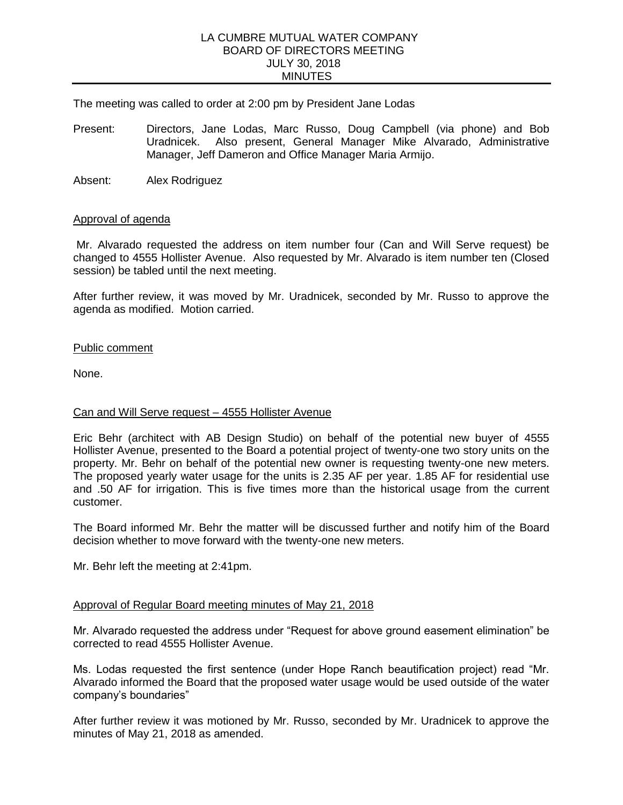#### LA CUMBRE MUTUAL WATER COMPANY BOARD OF DIRECTORS MEETING JULY 30, 2018 MINUTES

The meeting was called to order at 2:00 pm by President Jane Lodas

- Present: Directors, Jane Lodas, Marc Russo, Doug Campbell (via phone) and Bob Uradnicek. Also present, General Manager Mike Alvarado, Administrative Manager, Jeff Dameron and Office Manager Maria Armijo.
- Absent: Alex Rodriguez

#### Approval of agenda

Mr. Alvarado requested the address on item number four (Can and Will Serve request) be changed to 4555 Hollister Avenue. Also requested by Mr. Alvarado is item number ten (Closed session) be tabled until the next meeting.

After further review, it was moved by Mr. Uradnicek, seconded by Mr. Russo to approve the agenda as modified. Motion carried.

#### Public comment

None.

## Can and Will Serve request – 4555 Hollister Avenue

Eric Behr (architect with AB Design Studio) on behalf of the potential new buyer of 4555 Hollister Avenue, presented to the Board a potential project of twenty-one two story units on the property. Mr. Behr on behalf of the potential new owner is requesting twenty-one new meters. The proposed yearly water usage for the units is 2.35 AF per year. 1.85 AF for residential use and .50 AF for irrigation. This is five times more than the historical usage from the current customer.

The Board informed Mr. Behr the matter will be discussed further and notify him of the Board decision whether to move forward with the twenty-one new meters.

Mr. Behr left the meeting at 2:41pm.

#### Approval of Regular Board meeting minutes of May 21, 2018

Mr. Alvarado requested the address under "Request for above ground easement elimination" be corrected to read 4555 Hollister Avenue.

Ms. Lodas requested the first sentence (under Hope Ranch beautification project) read "Mr. Alvarado informed the Board that the proposed water usage would be used outside of the water company's boundaries"

After further review it was motioned by Mr. Russo, seconded by Mr. Uradnicek to approve the minutes of May 21, 2018 as amended.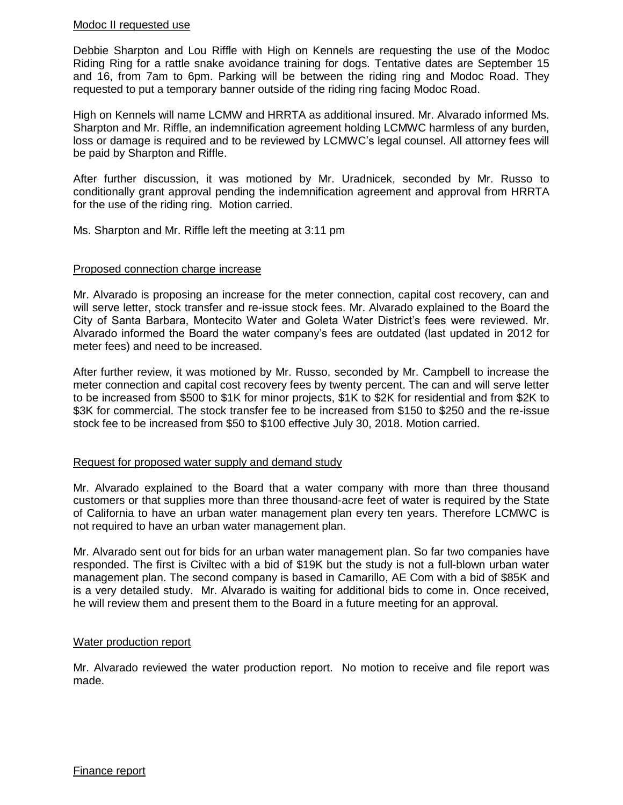## Modoc II requested use

Debbie Sharpton and Lou Riffle with High on Kennels are requesting the use of the Modoc Riding Ring for a rattle snake avoidance training for dogs. Tentative dates are September 15 and 16, from 7am to 6pm. Parking will be between the riding ring and Modoc Road. They requested to put a temporary banner outside of the riding ring facing Modoc Road.

High on Kennels will name LCMW and HRRTA as additional insured. Mr. Alvarado informed Ms. Sharpton and Mr. Riffle, an indemnification agreement holding LCMWC harmless of any burden, loss or damage is required and to be reviewed by LCMWC's legal counsel. All attorney fees will be paid by Sharpton and Riffle.

After further discussion, it was motioned by Mr. Uradnicek, seconded by Mr. Russo to conditionally grant approval pending the indemnification agreement and approval from HRRTA for the use of the riding ring. Motion carried.

Ms. Sharpton and Mr. Riffle left the meeting at 3:11 pm

## Proposed connection charge increase

Mr. Alvarado is proposing an increase for the meter connection, capital cost recovery, can and will serve letter, stock transfer and re-issue stock fees. Mr. Alvarado explained to the Board the City of Santa Barbara, Montecito Water and Goleta Water District's fees were reviewed. Mr. Alvarado informed the Board the water company's fees are outdated (last updated in 2012 for meter fees) and need to be increased.

After further review, it was motioned by Mr. Russo, seconded by Mr. Campbell to increase the meter connection and capital cost recovery fees by twenty percent. The can and will serve letter to be increased from \$500 to \$1K for minor projects, \$1K to \$2K for residential and from \$2K to \$3K for commercial. The stock transfer fee to be increased from \$150 to \$250 and the re-issue stock fee to be increased from \$50 to \$100 effective July 30, 2018. Motion carried.

## Request for proposed water supply and demand study

Mr. Alvarado explained to the Board that a water company with more than three thousand customers or that supplies more than three thousand-acre feet of water is required by the State of California to have an urban water management plan every ten years. Therefore LCMWC is not required to have an urban water management plan.

Mr. Alvarado sent out for bids for an urban water management plan. So far two companies have responded. The first is Civiltec with a bid of \$19K but the study is not a full-blown urban water management plan. The second company is based in Camarillo, AE Com with a bid of \$85K and is a very detailed study. Mr. Alvarado is waiting for additional bids to come in. Once received, he will review them and present them to the Board in a future meeting for an approval.

## Water production report

Mr. Alvarado reviewed the water production report. No motion to receive and file report was made.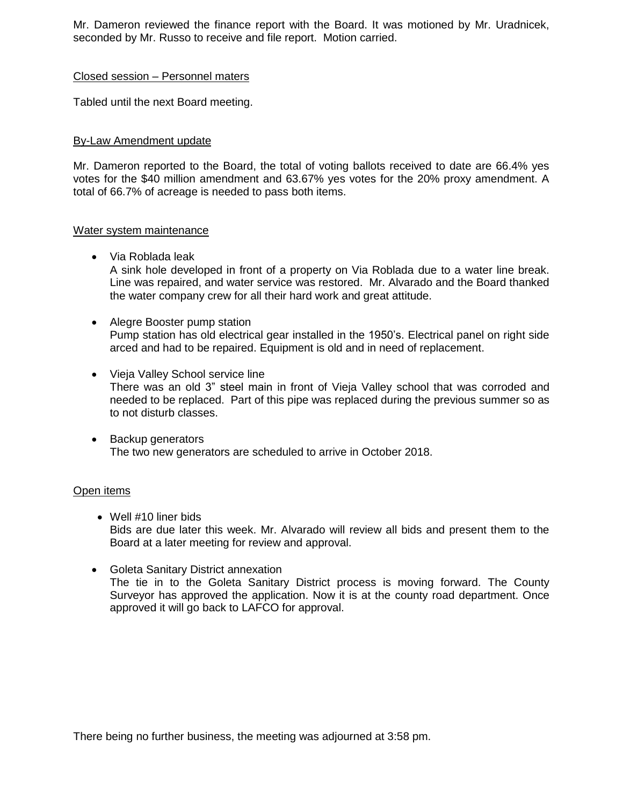Mr. Dameron reviewed the finance report with the Board. It was motioned by Mr. Uradnicek, seconded by Mr. Russo to receive and file report. Motion carried.

## Closed session – Personnel maters

Tabled until the next Board meeting.

# By-Law Amendment update

Mr. Dameron reported to the Board, the total of voting ballots received to date are 66.4% yes votes for the \$40 million amendment and 63.67% yes votes for the 20% proxy amendment. A total of 66.7% of acreage is needed to pass both items.

## Water system maintenance

Via Roblada leak

A sink hole developed in front of a property on Via Roblada due to a water line break. Line was repaired, and water service was restored. Mr. Alvarado and the Board thanked the water company crew for all their hard work and great attitude.

- Alegre Booster pump station Pump station has old electrical gear installed in the 1950's. Electrical panel on right side arced and had to be repaired. Equipment is old and in need of replacement.
- Vieja Valley School service line There was an old 3" steel main in front of Vieja Valley school that was corroded and needed to be replaced. Part of this pipe was replaced during the previous summer so as to not disturb classes.
- Backup generators The two new generators are scheduled to arrive in October 2018.

## Open items

- Well #10 liner bids Bids are due later this week. Mr. Alvarado will review all bids and present them to the Board at a later meeting for review and approval.
- Goleta Sanitary District annexation The tie in to the Goleta Sanitary District process is moving forward. The County Surveyor has approved the application. Now it is at the county road department. Once approved it will go back to LAFCO for approval.